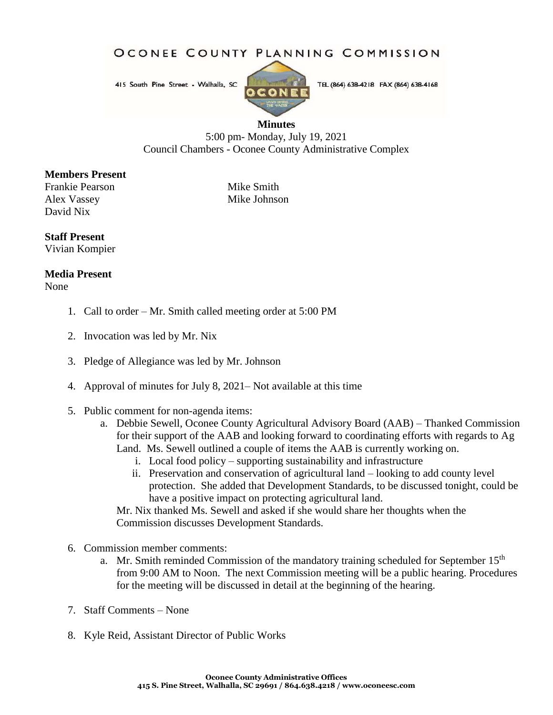OCONEE COUNTY PLANNING COMMISSION

415 South Pine Street - Walhalla, SC



TEL (864) 638-4218 FAX (864) 638-4168

## **Minutes**

5:00 pm- Monday, July 19, 2021 Council Chambers - Oconee County Administrative Complex

## **Members Present**

Frankie Pearson Mike Smith Alex Vassey Mike Johnson David Nix

## **Staff Present**

Vivian Kompier

## **Media Present**

None

- 1. Call to order Mr. Smith called meeting order at 5:00 PM
- 2. Invocation was led by Mr. Nix
- 3. Pledge of Allegiance was led by Mr. Johnson
- 4. Approval of minutes for July 8, 2021– Not available at this time
- 5. Public comment for non-agenda items:
	- a. Debbie Sewell, Oconee County Agricultural Advisory Board (AAB) Thanked Commission for their support of the AAB and looking forward to coordinating efforts with regards to Ag Land. Ms. Sewell outlined a couple of items the AAB is currently working on.
		- i. Local food policy supporting sustainability and infrastructure
		- ii. Preservation and conservation of agricultural land looking to add county level protection. She added that Development Standards, to be discussed tonight, could be have a positive impact on protecting agricultural land.

Mr. Nix thanked Ms. Sewell and asked if she would share her thoughts when the Commission discusses Development Standards.

- 6. Commission member comments:
	- a. Mr. Smith reminded Commission of the mandatory training scheduled for September 15<sup>th</sup> from 9:00 AM to Noon. The next Commission meeting will be a public hearing. Procedures for the meeting will be discussed in detail at the beginning of the hearing.
- 7. Staff Comments None
- 8. Kyle Reid, Assistant Director of Public Works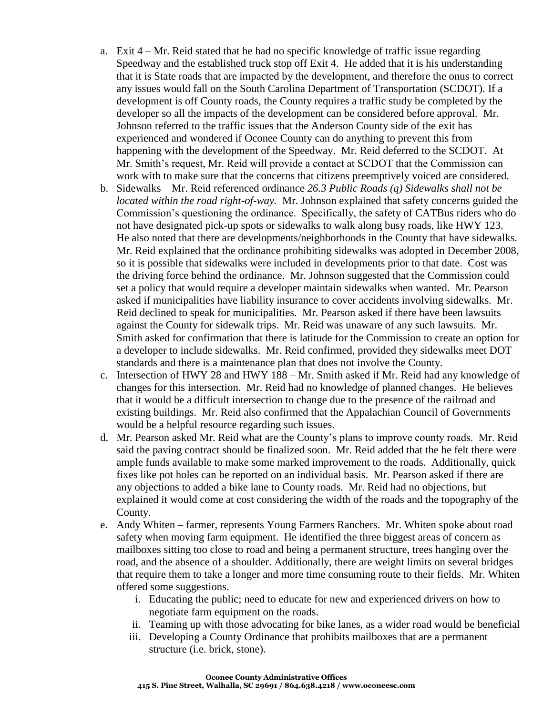- a. Exit 4 Mr. Reid stated that he had no specific knowledge of traffic issue regarding Speedway and the established truck stop off Exit 4. He added that it is his understanding that it is State roads that are impacted by the development, and therefore the onus to correct any issues would fall on the South Carolina Department of Transportation (SCDOT). If a development is off County roads, the County requires a traffic study be completed by the developer so all the impacts of the development can be considered before approval. Mr. Johnson referred to the traffic issues that the Anderson County side of the exit has experienced and wondered if Oconee County can do anything to prevent this from happening with the development of the Speedway. Mr. Reid deferred to the SCDOT. At Mr. Smith's request, Mr. Reid will provide a contact at SCDOT that the Commission can work with to make sure that the concerns that citizens preemptively voiced are considered.
- b. Sidewalks Mr. Reid referenced ordinance *26.3 Public Roads (q) Sidewalks shall not be located within the road right-of-way.* Mr. Johnson explained that safety concerns guided the Commission's questioning the ordinance. Specifically, the safety of CATBus riders who do not have designated pick-up spots or sidewalks to walk along busy roads, like HWY 123. He also noted that there are developments/neighborhoods in the County that have sidewalks. Mr. Reid explained that the ordinance prohibiting sidewalks was adopted in December 2008, so it is possible that sidewalks were included in developments prior to that date. Cost was the driving force behind the ordinance. Mr. Johnson suggested that the Commission could set a policy that would require a developer maintain sidewalks when wanted. Mr. Pearson asked if municipalities have liability insurance to cover accidents involving sidewalks. Mr. Reid declined to speak for municipalities. Mr. Pearson asked if there have been lawsuits against the County for sidewalk trips. Mr. Reid was unaware of any such lawsuits. Mr. Smith asked for confirmation that there is latitude for the Commission to create an option for a developer to include sidewalks. Mr. Reid confirmed, provided they sidewalks meet DOT standards and there is a maintenance plan that does not involve the County.
- c. Intersection of HWY 28 and HWY 188 Mr. Smith asked if Mr. Reid had any knowledge of changes for this intersection. Mr. Reid had no knowledge of planned changes. He believes that it would be a difficult intersection to change due to the presence of the railroad and existing buildings. Mr. Reid also confirmed that the Appalachian Council of Governments would be a helpful resource regarding such issues.
- d. Mr. Pearson asked Mr. Reid what are the County's plans to improve county roads. Mr. Reid said the paving contract should be finalized soon. Mr. Reid added that the he felt there were ample funds available to make some marked improvement to the roads. Additionally, quick fixes like pot holes can be reported on an individual basis. Mr. Pearson asked if there are any objections to added a bike lane to County roads. Mr. Reid had no objections, but explained it would come at cost considering the width of the roads and the topography of the County.
- e. Andy Whiten farmer, represents Young Farmers Ranchers. Mr. Whiten spoke about road safety when moving farm equipment. He identified the three biggest areas of concern as mailboxes sitting too close to road and being a permanent structure, trees hanging over the road, and the absence of a shoulder. Additionally, there are weight limits on several bridges that require them to take a longer and more time consuming route to their fields. Mr. Whiten offered some suggestions.
	- i. Educating the public; need to educate for new and experienced drivers on how to negotiate farm equipment on the roads.
	- ii. Teaming up with those advocating for bike lanes, as a wider road would be beneficial
	- iii. Developing a County Ordinance that prohibits mailboxes that are a permanent structure (i.e. brick, stone).